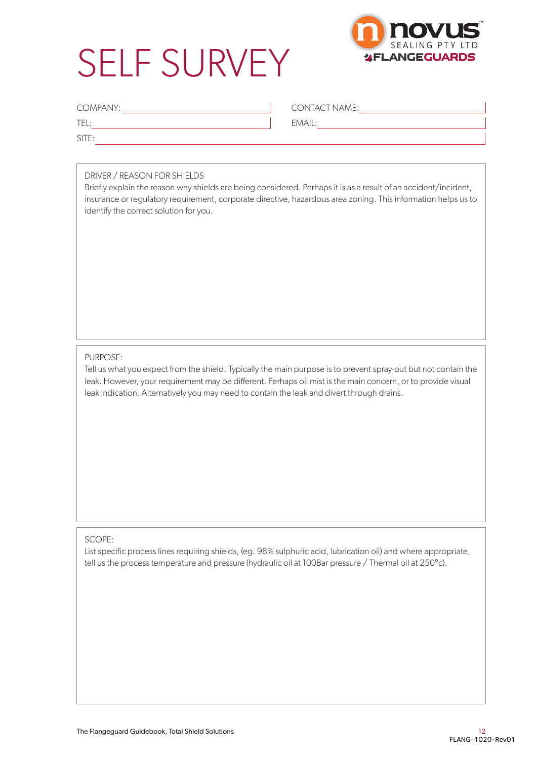# SELF SURVEY



| COMPANY: | <b>CONTACT NAME:</b> |
|----------|----------------------|
| TE.      | EMAIL:               |
| SITE:    |                      |

#### DRIVER / REASON FOR SHIELDS

Briefly explain the reason why shields are being considered. Perhaps it is as a result of an accident/incident, insurance or regulatory requirement, corporate directive, hazardous area zoning. This information helps us to identify the correct solution for you.

#### PURPOSE:

Tell us what you expect from the shield. Typically the main purpose is to prevent spray-out but not contain the leak. However, your requirement may be different. Perhaps oil mist is the main concern, or to provide visual leak indication. Alternatively you may need to contain the leak and divert through drains.

#### SCOPE:

List specific process lines requiring shields, (eg. 98% sulphuric acid, lubrication oil) and where appropriate, tell us the process temperature and pressure (hydraulic oil at 100Bar pressure / Thermal oil at 250°c).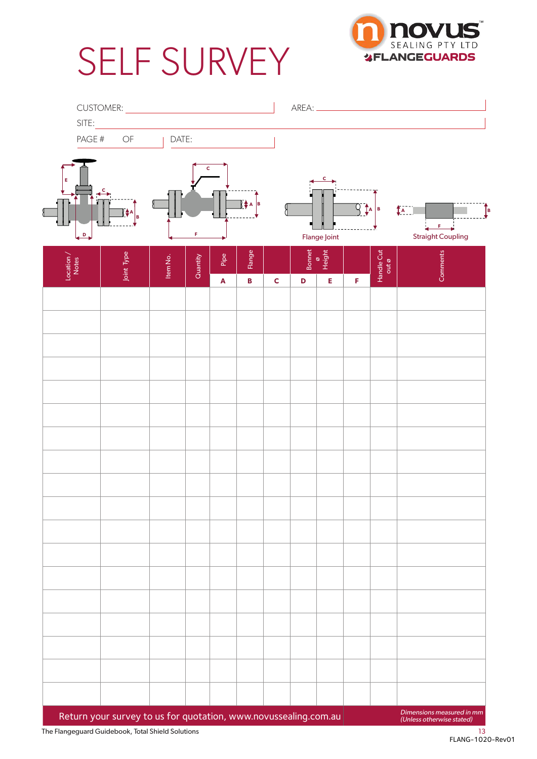# SELF SURVEY



| SITE:                    | CUSTOMER: <u>_______________________</u>                        |          |          |                            |                           |             |                              |                                          |                     |                     |                                                                   |
|--------------------------|-----------------------------------------------------------------|----------|----------|----------------------------|---------------------------|-------------|------------------------------|------------------------------------------|---------------------|---------------------|-------------------------------------------------------------------|
| PAGE #                   | OF                                                              | DATE:    |          |                            |                           |             |                              |                                          |                     |                     |                                                                   |
| Е                        | $\left[\frac{1}{2}A\right]_B$                                   |          | c        |                            | ∏∲а <mark>в</mark>        |             |                              | c                                        | $9$ $\frac{1}{2}$ в |                     | ▔▔▔▁<br>$\left(\begin{matrix} 1 & 1 \\ 1 & 1 \end{matrix}\right)$ |
| $\overline{D}$           |                                                                 |          | F        |                            |                           |             |                              | Flange Joint                             |                     |                     | $F = \frac{1}{2}$<br><b>Straight Coupling</b>                     |
| $\frac{Location}{Notes}$ | Joint Type                                                      | Item No. | Quantity | Pipe<br>$\bar{\mathbf{A}}$ | Flange<br>$\, {\bf B} \,$ | $\mathbf C$ | <b>Bonnet</b><br>$\mathbf D$ | $\frac{8}{\text{Height}}$<br>$\mathsf E$ | F                   | Handle Cut<br>out ø | Comments                                                          |
|                          |                                                                 |          |          |                            |                           |             |                              |                                          |                     |                     |                                                                   |
|                          |                                                                 |          |          |                            |                           |             |                              |                                          |                     |                     |                                                                   |
|                          |                                                                 |          |          |                            |                           |             |                              |                                          |                     |                     |                                                                   |
|                          |                                                                 |          |          |                            |                           |             |                              |                                          |                     |                     |                                                                   |
|                          |                                                                 |          |          |                            |                           |             |                              |                                          |                     |                     |                                                                   |
|                          |                                                                 |          |          |                            |                           |             |                              |                                          |                     |                     |                                                                   |
|                          |                                                                 |          |          |                            |                           |             |                              |                                          |                     |                     |                                                                   |
|                          |                                                                 |          |          |                            |                           |             |                              |                                          |                     |                     |                                                                   |
|                          |                                                                 |          |          |                            |                           |             |                              |                                          |                     |                     |                                                                   |
|                          |                                                                 |          |          |                            |                           |             |                              |                                          |                     |                     |                                                                   |
|                          |                                                                 |          |          |                            |                           |             |                              |                                          |                     |                     |                                                                   |
|                          |                                                                 |          |          |                            |                           |             |                              |                                          |                     |                     |                                                                   |
|                          |                                                                 |          |          |                            |                           |             |                              |                                          |                     |                     |                                                                   |
|                          |                                                                 |          |          |                            |                           |             |                              |                                          |                     |                     |                                                                   |
|                          | Return your survey to us for quotation, www.novussealing.com.au |          |          |                            |                           |             |                              |                                          |                     |                     | Dimensions measured in mm<br>(Unless otherwise stated)            |